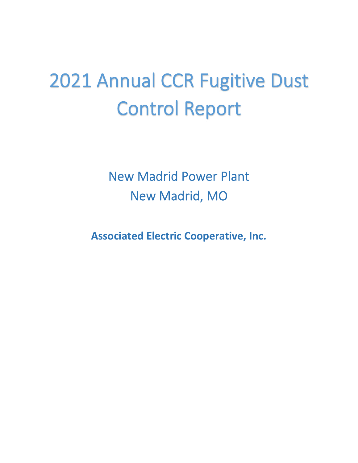# 2021 Annual CCR Fugitive Dust Control Report

New Madrid Power Plant New Madrid, MO

**Associated Electric Cooperative, Inc.**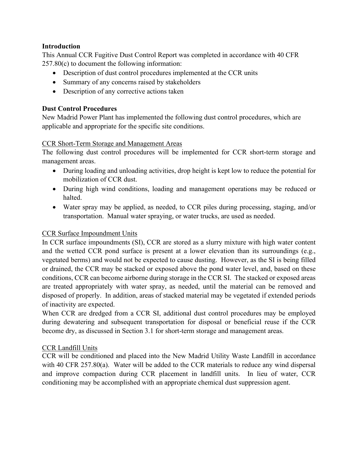#### **Introduction**

This Annual CCR Fugitive Dust Control Report was completed in accordance with 40 CFR 257.80(c) to document the following information:

- Description of dust control procedures implemented at the CCR units
- Summary of any concerns raised by stakeholders
- Description of any corrective actions taken

#### **Dust Control Procedures**

New Madrid Power Plant has implemented the following dust control procedures, which are applicable and appropriate for the specific site conditions.

#### CCR Short-Term Storage and Management Areas

 The following dust control procedures will be implemented for CCR short-term storage and management areas.

- During loading and unloading activities, drop height is kept low to reduce the potential for mobilization of CCR dust.
- During high wind conditions, loading and management operations may be reduced or halted.
- Water spray may be applied, as needed, to CCR piles during processing, staging, and/or transportation. Manual water spraying, or water trucks, are used as needed.

## CCR Surface Impoundment Units

 In CCR surface impoundments (SI), CCR are stored as a slurry mixture with high water content and the wetted CCR pond surface is present at a lower elevation than its surroundings (e.g., vegetated berms) and would not be expected to cause dusting. However, as the SI is being filled or drained, the CCR may be stacked or exposed above the pond water level, and, based on these conditions, CCR can become airborne during storage in the CCR SI. The stacked or exposed areas are treated appropriately with water spray, as needed, until the material can be removed and disposed of properly. In addition, areas of stacked material may be vegetated if extended periods of inactivity are expected.

 When CCR are dredged from a CCR SI, additional dust control procedures may be employed during dewatering and subsequent transportation for disposal or beneficial reuse if the CCR become dry, as discussed in Section 3.1 for short-term storage and management areas.

## CCR Landfill Units

 with 40 CFR 257.80(a). Water will be added to the CCR materials to reduce any wind dispersal and improve compaction during CCR placement in landfill units. In lieu of water, CCR CCR will be conditioned and placed into the New Madrid Utility Waste Landfill in accordance conditioning may be accomplished with an appropriate chemical dust suppression agent.